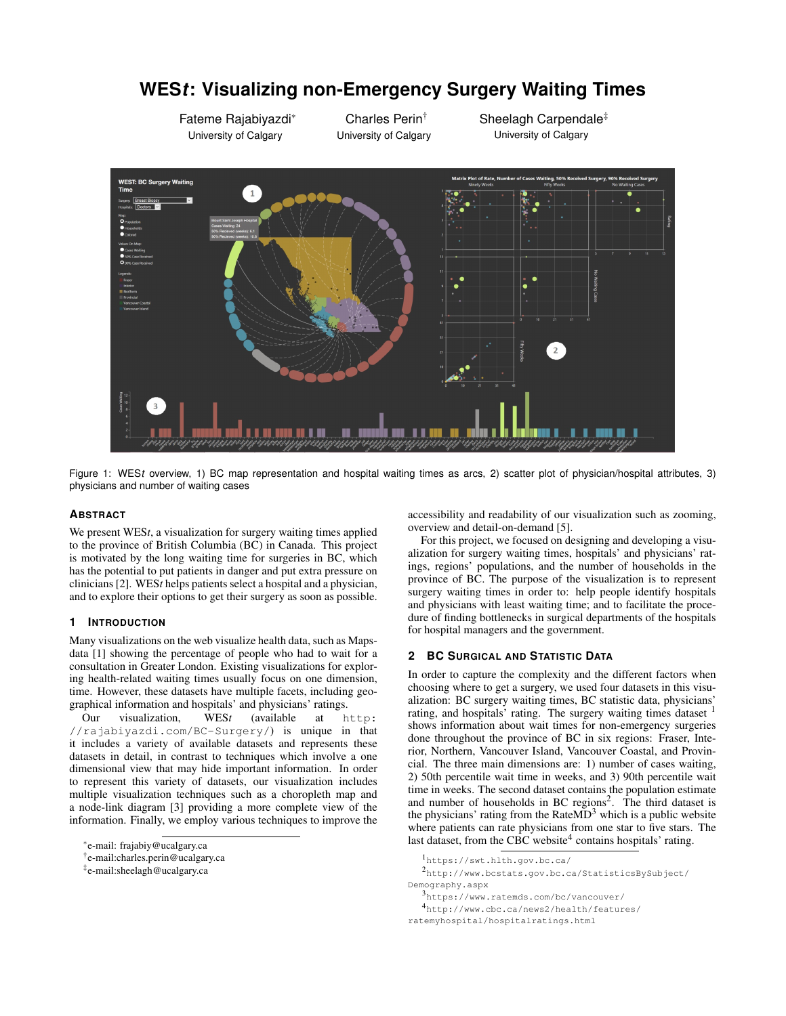# University of Calgary University of Calgary University of Calgary

# **WES***t***: Visualizing non-Emergency Surgery Waiting Times**

Charles Perin†

Figure 1: WES*t* overview, 1) BC map representation and hospital waiting times as arcs, 2) scatter plot of physician/hospital attributes, 3) physicians and number of waiting cases

### **ABSTRACT**

We present WES*t*, a visualization for surgery waiting times applied to the province of British Columbia (BC) in Canada. This project is motivated by the long waiting time for surgeries in BC, which has the potential to put patients in danger and put extra pressure on clinicians [2]. WES*t* helps patients select a hospital and a physician, and to explore their options to get their surgery as soon as possible.

Fateme Rajabiyazdi<sup>∗</sup>

### **1 INTRODUCTION**

Many visualizations on the web visualize health data, such as Mapsdata [1] showing the percentage of people who had to wait for a consultation in Greater London. Existing visualizations for exploring health-related waiting times usually focus on one dimension, time. However, these datasets have multiple facets, including geographical information and hospitals' and physicians' ratings.<br>Our visualization, WESt (available at h

Our visualization, WES*t* (available at http: //rajabiyazdi.com/BC-Surgery/) is unique in that it includes a variety of available datasets and represents these datasets in detail, in contrast to techniques which involve a one dimensional view that may hide important information. In order to represent this variety of datasets, our visualization includes multiple visualization techniques such as a choropleth map and a node-link diagram [3] providing a more complete view of the information. Finally, we employ various techniques to improve the

accessibility and readability of our visualization such as zooming, overview and detail-on-demand [5].

Sheelagh Carpendale‡

For this project, we focused on designing and developing a visualization for surgery waiting times, hospitals' and physicians' ratings, regions' populations, and the number of households in the province of BC. The purpose of the visualization is to represent surgery waiting times in order to: help people identify hospitals and physicians with least waiting time; and to facilitate the procedure of finding bottlenecks in surgical departments of the hospitals for hospital managers and the government.

### **2 BC SURGICAL AND STATISTIC DATA**

In order to capture the complexity and the different factors when choosing where to get a surgery, we used four datasets in this visualization: BC surgery waiting times, BC statistic data, physicians' rating, and hospitals' rating. The surgery waiting times dataset <sup>1</sup> shows information about wait times for non-emergency surgeries done throughout the province of BC in six regions: Fraser, Interior, Northern, Vancouver Island, Vancouver Coastal, and Provincial. The three main dimensions are: 1) number of cases waiting, 2) 50th percentile wait time in weeks, and 3) 90th percentile wait time in weeks. The second dataset contains the population estimate and number of households in BC regions<sup>2</sup>. The third dataset is the physicians' rating from the Rate $MD<sup>3</sup>$  which is a public website where patients can rate physicians from one star to five stars. The last dataset, from the CBC website<sup>4</sup> contains hospitals' rating.

<sup>2</sup>http://www.bcstats.gov.bc.ca/StatisticsBySubject/ Demography.aspx

<sup>4</sup>http://www.cbc.ca/news2/health/features/ ratemyhospital/hospitalratings.html

<sup>∗</sup> e-mail: frajabiy@ucalgary.ca

<sup>†</sup> e-mail:charles.perin@ucalgary.ca

<sup>‡</sup> e-mail:sheelagh@ucalgary.ca

<sup>1</sup>https://swt.hlth.gov.bc.ca/

<sup>3</sup>https://www.ratemds.com/bc/vancouver/